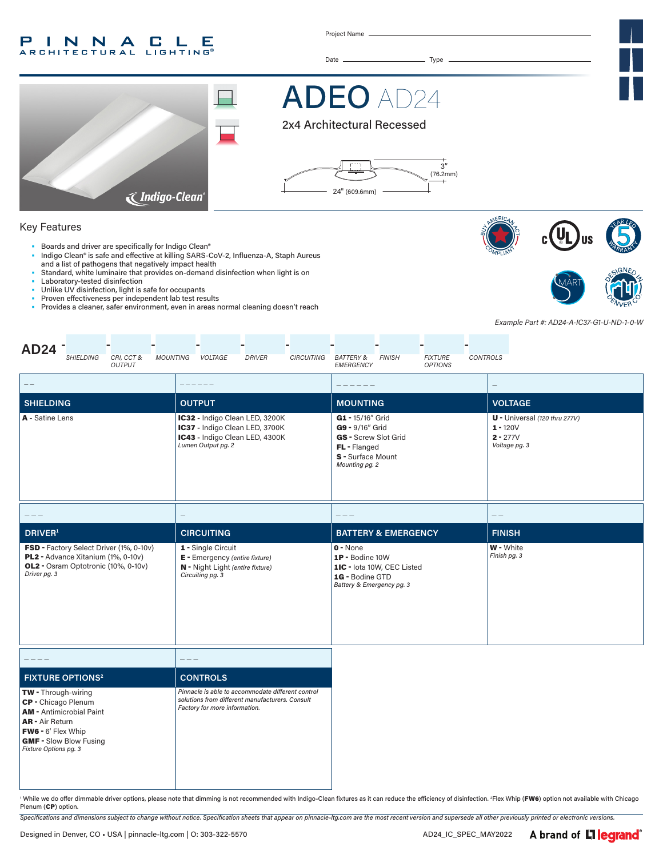#### P INNA LE C . **RCHITECTURAL LIGHTING®**

Project Name

Date Type



ADEO AD24

2x4 Architectural Recessed



#### Key Features

- Boards and driver are specifically for Indigo Clean®
- Indigo Clean® is safe and effective at killing SARS-CoV-2, Influenza-A, Staph Aureus and a list of pathogens that negatively impact health
- Standard, white luminaire that provides on-demand disinfection when light is on
- Laboratory-tested disinfection
- Unlike UV disinfection, light is safe for occupants
- Proven effectiveness per independent lab test results<br>• Provides a cleaner, safer environment, even in areas n
- Provides a cleaner, safer environment, even in areas normal cleaning doesn't reach





*Example Part #: AD24-A-IC37-G1-U-ND-1-0-W*

| <b>AD24</b><br>CRI, CCT &<br><b>MOUNTING</b><br>SHIELDING<br><b>OUTPUT</b>                                                                                                                     | VOLTAGE<br><b>DRIVER</b><br>CIRCUITING                                                                                                | <b>FIXTURE</b><br><b>CONTROLS</b><br><b>BATTERY &amp;</b><br><b>FINISH</b><br>EMERGENCY<br><b>OPTIONS</b>          |                                                                              |
|------------------------------------------------------------------------------------------------------------------------------------------------------------------------------------------------|---------------------------------------------------------------------------------------------------------------------------------------|--------------------------------------------------------------------------------------------------------------------|------------------------------------------------------------------------------|
| $-\ -$                                                                                                                                                                                         |                                                                                                                                       |                                                                                                                    | $\overline{\phantom{0}}$                                                     |
| <b>SHIELDING</b>                                                                                                                                                                               | <b>OUTPUT</b>                                                                                                                         | <b>MOUNTING</b>                                                                                                    | <b>VOLTAGE</b>                                                               |
| A - Satine Lens                                                                                                                                                                                | IC32 - Indigo Clean LED, 3200K<br>IC37 - Indigo Clean LED, 3700K<br>IC43 - Indigo Clean LED, 4300K<br>Lumen Output pg. 2              | G1 - 15/16" Grid<br>G9 - 9/16" Grid<br>GS - Screw Slot Grid<br>FL - Flanged<br>S - Surface Mount<br>Mounting pg. 2 | $U$ - Universal (120 thru 277V)<br>$1 - 120V$<br>$2 - 277V$<br>Voltage pg. 3 |
|                                                                                                                                                                                                |                                                                                                                                       | $- - -$                                                                                                            | $- -$                                                                        |
| <b>DRIVER</b> <sup>1</sup>                                                                                                                                                                     | <b>CIRCUITING</b>                                                                                                                     | <b>BATTERY &amp; EMERGENCY</b>                                                                                     | <b>FINISH</b>                                                                |
| FSD - Factory Select Driver (1%, 0-10v)<br>PL2 - Advance Xitanium (1%, 0-10v)<br>OL2 - Osram Optotronic (10%, 0-10v)<br>Driver pg. 3                                                           | 1 - Single Circuit<br>E - Emergency (entire fixture)<br>N - Night Light (entire fixture)<br>Circuiting pg. 3                          | $0 - None$<br>1P - Bodine 10W<br>1IC - lota 10W, CEC Listed<br>1G - Bodine GTD<br>Battery & Emergency pg. 3        | W - White<br>Finish pg. 3                                                    |
|                                                                                                                                                                                                | $---$                                                                                                                                 |                                                                                                                    |                                                                              |
| <b>FIXTURE OPTIONS<sup>2</sup></b>                                                                                                                                                             | <b>CONTROLS</b>                                                                                                                       |                                                                                                                    |                                                                              |
| <b>TW</b> - Through-wiring<br>CP - Chicago Plenum<br><b>AM</b> - Antimicrobial Paint<br><b>AR</b> - Air Return<br>FW6 - 6' Flex Whip<br><b>GMF - Slow Blow Fusing</b><br>Fixture Options pg. 3 | Pinnacle is able to accommodate different control<br>solutions from different manufacturers. Consult<br>Factory for more information. |                                                                                                                    |                                                                              |

' While we do offer dimmable driver options, please note that dimming is not recommended with Indigo-Clean fixtures as it can reduce the efficiency of disinfection. 2Flex Whip (FW6) option not available with Chicago Plenum (CP) option.

*Specifications and dimensions subject to change without notice. Specification sheets that appear on pinnacle-ltg.com are the most recent version and supersede all other previously printed or electronic versions.*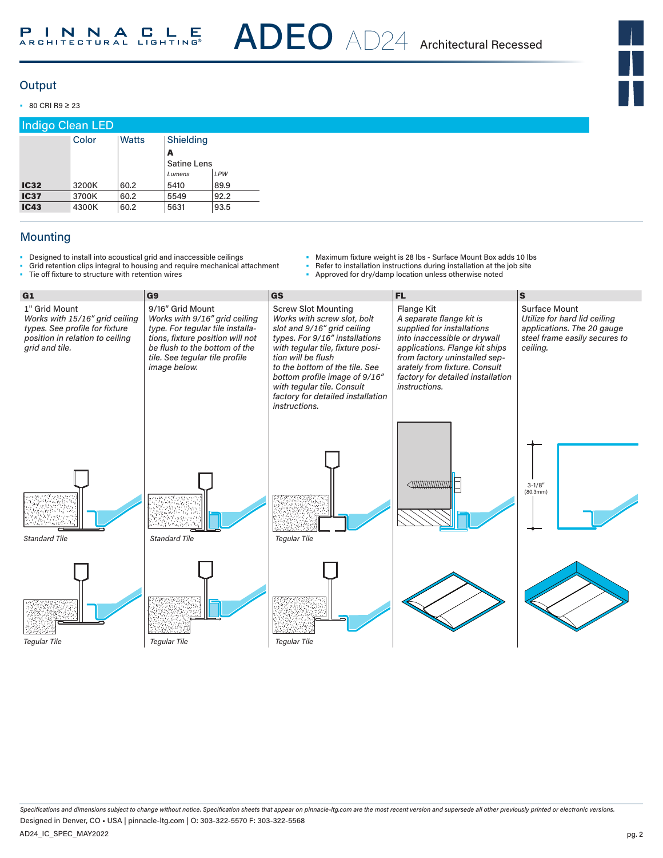ADEO AD24 Architectural Recessed



## **Output**

• 80 CRI R9 ≥ 23

| <b>Indigo Clean LED</b> |       |       |                    |      |  |  |
|-------------------------|-------|-------|--------------------|------|--|--|
|                         | Color | Watts | Shielding          |      |  |  |
|                         |       |       | A                  |      |  |  |
|                         |       |       | <b>Satine Lens</b> |      |  |  |
|                         |       |       | Lumens             | LPW  |  |  |
| <b>IC32</b>             | 3200K | 60.2  | 5410               | 89.9 |  |  |
| <b>IC37</b>             | 3700K | 60.2  | 5549               | 92.2 |  |  |
| <b>IC43</b>             | 4300K | 60.2  | 5631               | 93.5 |  |  |

# **Mounting**

- Designed to install into acoustical grid and inaccessible ceilings
- Grid retention clips integral to housing and require mechanical attachment<br>• Tie off fixture to structure with retention wires Tie off fixture to structure with retention wires
- Maximum fixture weight is 28 lbs Surface Mount Box adds 10 lbs
- Refer to installation instructions during installation at the job site<br>• Approved for dry/damp location unless otherwise noted
- Approved for dry/damp location unless otherwise noted

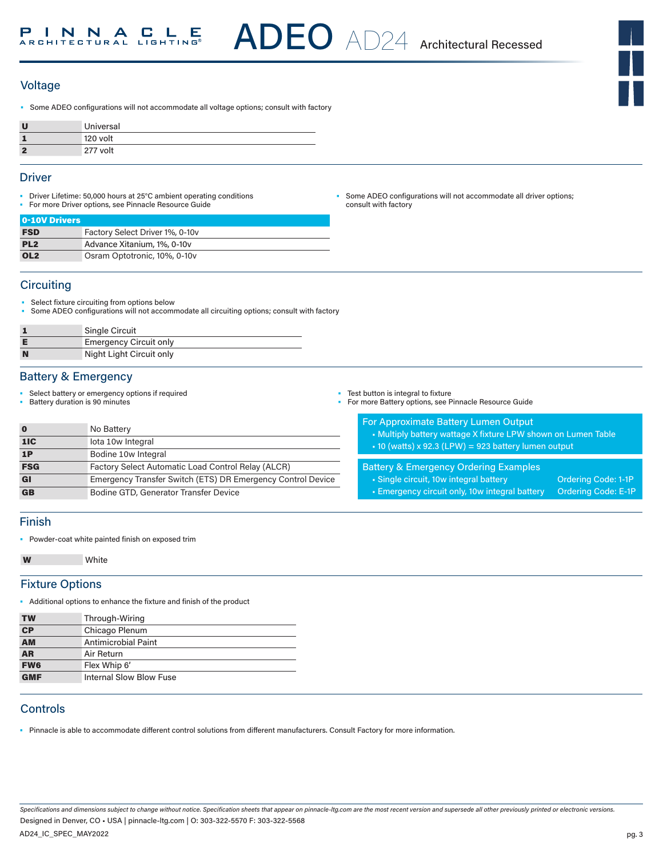

### **Voltage**

• Some ADEO configurations will not accommodate all voltage options; consult with factory

| π  | Universal |
|----|-----------|
|    | 120 volt  |
| ×, | 277 volt  |

#### **Driver**

- Driver Lifetime: 50,000 hours at 25°C ambient operating conditions
	- For more Driver options, see Pinnacle Resource Guide

• Some ADEO configurations will not accommodate all driver options; consult with factory

| 0-10V Drivers   |                                 |
|-----------------|---------------------------------|
| <b>FSD</b>      | Factory Select Driver 1%, 0-10v |
| PL <sub>2</sub> | Advance Xitanium, 1%, 0-10y     |
| OL <sub>2</sub> | Osram Optotronic, 10%, 0-10y    |

#### **Circuiting**

- Select fixture circuiting from options below
- Some ADEO configurations will not accommodate all circuiting options; consult with factory

| Single Circuit                |
|-------------------------------|
| <b>Emergency Circuit only</b> |
| Night Light Circuit only      |

#### Battery & Emergency

- Select battery or emergency options if required
- Battery duration is 90 minutes

| 0   | No Battery                                                  |
|-----|-------------------------------------------------------------|
| 11C | lota 10w Integral                                           |
| 1P  | Bodine 10w Integral                                         |
| FSG | Factory Select Automatic Load Control Relay (ALCR)          |
| GI  | Emergency Transfer Switch (ETS) DR Emergency Control Device |
| GB  | Bodine GTD, Generator Transfer Device                       |

• Test button is integral to fixture

• For more Battery options, see Pinnacle Resource Guide

| <b>For Approximate Battery Lumen Output</b>                   |  |
|---------------------------------------------------------------|--|
| • Multiply battery wattage X fixture LPW shown on Lumen Table |  |
| $\cdot$ 10 (watts) x 92.3 (LPW) = 923 battery lumen output    |  |
|                                                               |  |

# Battery & Emergency Ordering Examples

- Single circuit, 10w integral battery **Ordering Code: 1-1P**
- Emergency circuit only, 10w integral battery Ordering Code: E-1P

#### Finish

• Powder-coat white painted finish on exposed trim

```
W White
```
#### Fixture Options

• Additional options to enhance the fixture and finish of the product

| <b>TW</b>                | Through-Wiring                 |
|--------------------------|--------------------------------|
| $\overline{\mathbf{CP}}$ | Chicago Plenum                 |
| <b>AM</b>                | Antimicrobial Paint            |
| <b>AR</b>                | Air Return                     |
| <b>FW6</b>               | Flex Whip 6'                   |
| <b>GMF</b>               | <b>Internal Slow Blow Fuse</b> |

# **Controls**

• Pinnacle is able to accommodate different control solutions from different manufacturers. Consult Factory for more information.

*Specifications and dimensions subject to change without notice. Specification sheets that appear on pinnacle-ltg.com are the most recent version and supersede all other previously printed or electronic versions.* AD24\_IC\_SPEC\_MAY2022 Designed in Denver, CO • USA | pinnacle-ltg.com | O: 303-322-5570 F: 303-322-5568